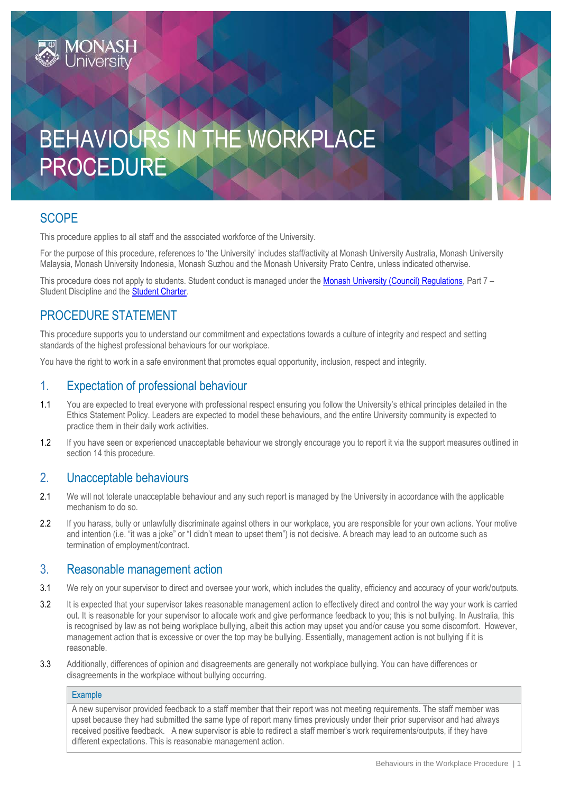

# **SCOPE**

This procedure applies to all staff and the associated workforce of the University.

For the purpose of this procedure, references to 'the University' includes staff/activity at Monash University Australia, Monash University Malaysia, Monash University Indonesia, Monash Suzhou and the Monash University Prato Centre, unless indicated otherwise.

This procedure does not apply to students. Student conduct is managed under the [Monash University \(Council\) Regulations,](https://www.monash.edu/__data/assets/pdf_file/0008/1854179/Monash-University-Council-Regulations-as-at-24-July-2019.pdf) Part 7 – Student Discipline and the [Student Charter.](https://www.monash.edu/students/academic/policies/student-charter)

# PROCEDURE STATEMENT

This procedure supports you to understand our commitment and expectations towards a culture of integrity and respect and setting standards of the highest professional behaviours for our workplace.

You have the right to work in a safe environment that promotes equal opportunity, inclusion, respect and integrity.

# 1. Expectation of professional behaviour

- 1.1 You are expected to treat everyone with professional respect ensuring you follow the University's ethical principles detailed in the [Ethics Statement Policy.](https://www.monash.edu/__data/assets/pdf_file/0004/1168798/Ethics-Statement.pdf) Leaders are expected to model these behaviours, and the entire University community is expected to practice them in their daily work activities.
- 1.2 If you have seen or experienced unacceptable behaviour we strongly encourage you to report it via the support measures outlined in section 14 this procedure.

## 2. Unacceptable behaviours

- 2.1 We will not tolerate unacceptable behaviour and any such report is managed by the University in accordance with the applicable mechanism to do so.
- 2.2 If you harass, bully or unlawfully discriminate against others in our workplace, you are responsible for your own actions. Your motive and intention (i.e. "it was a joke" or "I didn't mean to upset them") is not decisive. A breach may lead to an outcome such as termination of employment/contract.

## 3. Reasonable management action

- 3.1 We rely on your supervisor to direct and oversee your work, which includes the quality, efficiency and accuracy of your work/outputs.
- 3.2 It is expected that your supervisor takes reasonable management action to effectively direct and control the way your work is carried out. It is reasonable for your supervisor to allocate work and give performance feedback to you; this is not bullying. In Australia, this is recognised by law as not being workplace bullying, albeit this action may upset you and/or cause you some discomfort. However, management action that is excessive or over the top may be bullying. Essentially, management action is not bullying if it is reasonable.
- 3.3 Additionally, differences of opinion and disagreements are generally not workplace bullying. You can have differences or disagreements in the workplace without bullying occurring.

#### Example

A new supervisor provided feedback to a staff member that their report was not meeting requirements. The staff member was upset because they had submitted the same type of report many times previously under their prior supervisor and had always received positive feedback. A new supervisor is able to redirect a staff member's work requirements/outputs, if they have different expectations. This is reasonable management action.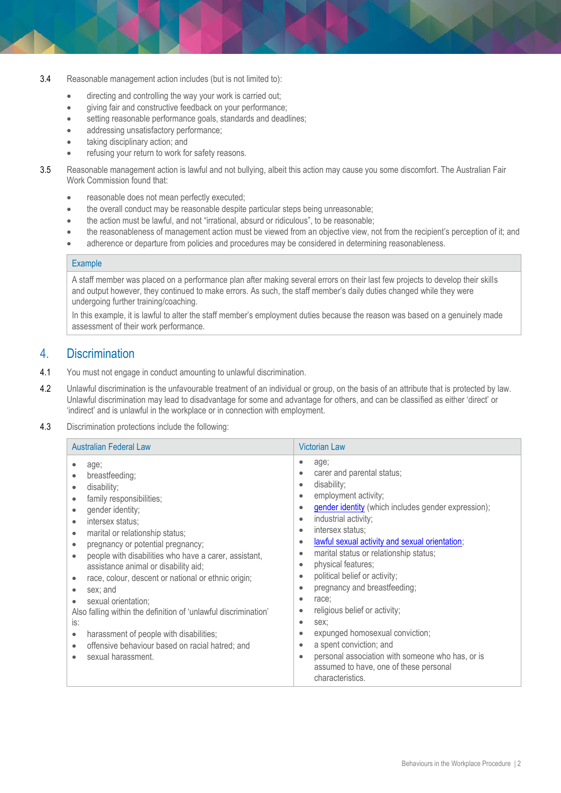- 3.4 Reasonable management action includes (but is not limited to):
	- directing and controlling the way your work is carried out;
	- giving fair and constructive feedback on your performance;
	- setting reasonable performance goals, standards and deadlines;
	- addressing unsatisfactory performance;
	- taking disciplinary action; and
	- refusing your return to work for safety reasons.
- 3.5 Reasonable management action is lawful and not bullying, albeit this action may cause you some discomfort. The Australian Fair Work Commission found that:
	- reasonable does not mean perfectly executed;
	- the overall conduct may be reasonable despite particular steps being unreasonable;
	- the action must be lawful, and not "irrational, absurd or ridiculous", to be reasonable;
	- the reasonableness of management action must be viewed from an objective view, not from the recipient's perception of it; and
	- adherence or departure from policies and procedures may be considered in determining reasonableness.

## Example

A staff member was placed on a performance plan after making several errors on their last few projects to develop their skills and output however, they continued to make errors. As such, the staff member's daily duties changed while they were undergoing further training/coaching.

In this example, it is lawful to alter the staff member's employment duties because the reason was based on a genuinely made assessment of their work performance.

## 4. Discrimination

- 4.1 You must not engage in conduct amounting to unlawful discrimination.
- 4.2 Unlawful discrimination is the unfavourable treatment of an individual or group, on the basis of an attribute that is protected by law. Unlawful discrimination may lead to disadvantage for some and advantage for others, and can be classified as either 'direct' or 'indirect' and is unlawful in the workplace or in connection with employment.
- 4.3 Discrimination protections include the following:

| <b>Australian Federal Law</b>                                                                                                                                                                                                                                                                                                                                                                                                                                                                                                                                                                                                                                                                                                                                                 | <b>Victorian Law</b>                                                                                                                                                                                                                                                                                                                                                                                                                                                                                                                                                                                                                                                                                                                                                                                                        |
|-------------------------------------------------------------------------------------------------------------------------------------------------------------------------------------------------------------------------------------------------------------------------------------------------------------------------------------------------------------------------------------------------------------------------------------------------------------------------------------------------------------------------------------------------------------------------------------------------------------------------------------------------------------------------------------------------------------------------------------------------------------------------------|-----------------------------------------------------------------------------------------------------------------------------------------------------------------------------------------------------------------------------------------------------------------------------------------------------------------------------------------------------------------------------------------------------------------------------------------------------------------------------------------------------------------------------------------------------------------------------------------------------------------------------------------------------------------------------------------------------------------------------------------------------------------------------------------------------------------------------|
| age;<br>$\bullet$<br>breastfeeding;<br>$\bullet$<br>disability;<br>$\bullet$<br>family responsibilities;<br>$\bullet$<br>gender identity;<br>$\bullet$<br>intersex status;<br>$\bullet$<br>marital or relationship status;<br>$\bullet$<br>pregnancy or potential pregnancy;<br>$\bullet$<br>people with disabilities who have a carer, assistant,<br>$\bullet$<br>assistance animal or disability aid;<br>race, colour, descent or national or ethnic origin;<br>$\bullet$<br>sex; and<br>$\bullet$<br>sexual orientation;<br>$\bullet$<br>Also falling within the definition of 'unlawful discrimination'<br>is:<br>harassment of people with disabilities;<br>$\bullet$<br>offensive behaviour based on racial hatred; and<br>$\bullet$<br>sexual harassment.<br>$\bullet$ | age;<br>۰<br>carer and parental status;<br>$\bullet$<br>disability;<br>$\bullet$<br>employment activity;<br>$\bullet$<br>gender identity (which includes gender expression);<br>$\bullet$<br>industrial activity;<br>$\bullet$<br>intersex status:<br>$\bullet$<br>lawful sexual activity and sexual orientation;<br>$\bullet$<br>marital status or relationship status;<br>$\bullet$<br>physical features;<br>$\bullet$<br>political belief or activity;<br>$\bullet$<br>pregnancy and breastfeeding;<br>$\bullet$<br>race;<br>$\bullet$<br>religious belief or activity;<br>$\bullet$<br>sex:<br>$\bullet$<br>expunged homosexual conviction;<br>$\bullet$<br>a spent conviction; and<br>$\bullet$<br>personal association with someone who has, or is<br>٠<br>assumed to have, one of these personal<br>characteristics. |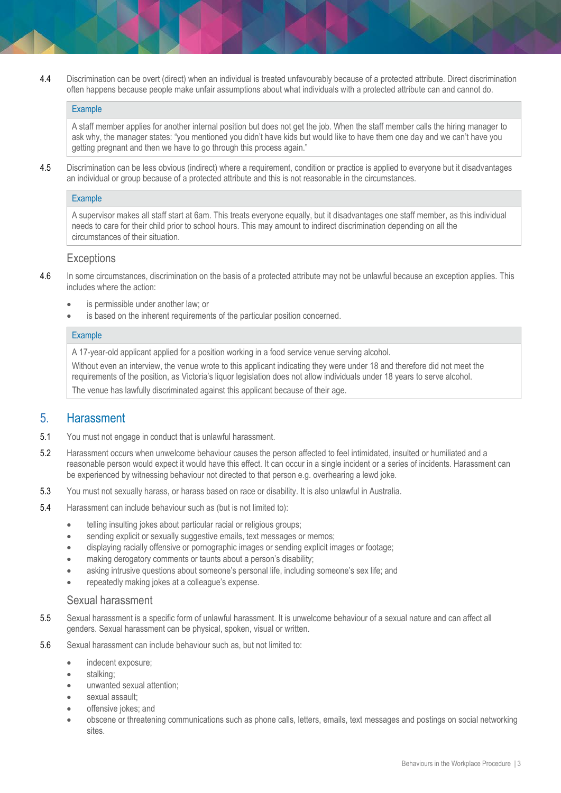4.4 Discrimination can be overt (direct) when an individual is treated unfavourably because of a protected attribute. Direct discrimination often happens because people make unfair assumptions about what individuals with a protected attribute can and cannot do.

#### **Example**

A staff member applies for another internal position but does not get the job. When the staff member calls the hiring manager to ask why, the manager states: "you mentioned you didn't have kids but would like to have them one day and we can't have you getting pregnant and then we have to go through this process again."

4.5 Discrimination can be less obvious (indirect) where a requirement, condition or practice is applied to everyone but it disadvantages an individual or group because of a protected attribute and this is not reasonable in the circumstances.

#### **Example**

A supervisor makes all staff start at 6am. This treats everyone equally, but it disadvantages one staff member, as this individual needs to care for their child prior to school hours. This may amount to indirect discrimination depending on all the circumstances of their situation.

## **Exceptions**

- 4.6 In some circumstances, discrimination on the basis of a protected attribute may not be unlawful because an exception applies. This includes where the action:
	- is permissible under another law; or
	- is based on the inherent requirements of the particular position concerned.

#### **Example**

A 17-year-old applicant applied for a position working in a food service venue serving alcohol.

Without even an interview, the venue wrote to this applicant indicating they were under 18 and therefore did not meet the requirements of the position, as Victoria's liquor legislation does not allow individuals under 18 years to serve alcohol. The venue has lawfully discriminated against this applicant because of their age.

## 5. Harassment

- 5.1 You must not engage in conduct that is unlawful harassment.
- 5.2 Harassment occurs when unwelcome behaviour causes the person affected to feel intimidated, insulted or humiliated and a reasonable person would expect it would have this effect. It can occur in a single incident or a series of incidents. Harassment can be experienced by witnessing behaviour not directed to that person e.g. overhearing a lewd joke.
- 5.3 You must not sexually harass, or harass based on race or disability. It is also unlawful in Australia.
- 5.4 Harassment can include behaviour such as (but is not limited to):
	- telling insulting jokes about particular racial or religious groups;
	- sending explicit or sexually suggestive emails, text messages or memos;
	- displaying racially offensive or pornographic images or sending explicit images or footage;
	- making derogatory comments or taunts about a person's disability;
	- asking intrusive questions about someone's personal life, including someone's sex life; and
	- repeatedly making jokes at a colleague's expense.

#### Sexual harassment

- 5.5 Sexual harassment is a specific form of unlawful harassment. It is unwelcome behaviour of a sexual nature and can affect all genders. Sexual harassment can be physical, spoken, visual or written.
- 5.6 Sexual harassment can include behaviour such as, but not limited to:
	- indecent exposure;
	- stalking;
	- unwanted sexual attention;
	- sexual assault;
	- offensive jokes; and
	- obscene or threatening communications such as phone calls, letters, emails, text messages and postings on social networking sites.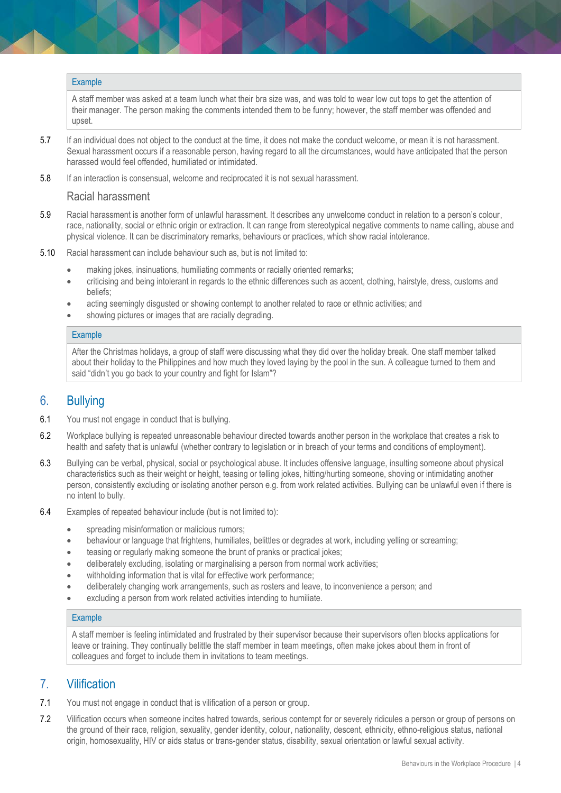#### **Example**

A staff member was asked at a team lunch what their bra size was, and was told to wear low cut tops to get the attention of their manager. The person making the comments intended them to be funny; however, the staff member was offended and upset.

- 5.7 If an individual does not object to the conduct at the time, it does not make the conduct welcome, or mean it is not harassment. Sexual harassment occurs if a reasonable person, having regard to all the circumstances, would have anticipated that the person harassed would feel offended, humiliated or intimidated.
- 5.8 If an interaction is consensual, welcome and reciprocated it is not sexual harassment.

#### Racial harassment

- 5.9 Racial harassment is another form of unlawful harassment. It describes any unwelcome conduct in relation to a person's colour, race, nationality, social or ethnic origin or extraction. It can range from stereotypical negative comments to name calling, abuse and physical violence. It can be discriminatory remarks, behaviours or practices, which show racial intolerance.
- 5.10 Racial harassment can include behaviour such as, but is not limited to:
	- making jokes, insinuations, humiliating comments or racially oriented remarks;
	- criticising and being intolerant in regards to the ethnic differences such as accent, clothing, hairstyle, dress, customs and beliefs;
	- acting seemingly disgusted or showing contempt to another related to race or ethnic activities; and
	- showing pictures or images that are racially degrading.

#### Example

After the Christmas holidays, a group of staff were discussing what they did over the holiday break. One staff member talked about their holiday to the Philippines and how much they loved laying by the pool in the sun. A colleague turned to them and said "didn't you go back to your country and fight for Islam"?

## 6. Bullying

- 6.1 You must not engage in conduct that is bullying.
- 6.2 Workplace bullying is repeated unreasonable behaviour directed towards another person in the workplace that creates a risk to health and safety that is unlawful (whether contrary to legislation or in breach of your terms and conditions of employment).
- 6.3 Bullying can be verbal, physical, social or psychological abuse. It includes offensive language, insulting someone about physical characteristics such as their weight or height, teasing or telling jokes, hitting/hurting someone, shoving or intimidating another person, consistently excluding or isolating another person e.g. from work related activities. Bullying can be unlawful even if there is no intent to bully.
- 6.4 Examples of repeated behaviour include (but is not limited to):
	- **•** spreading misinformation or malicious rumors;
	- behaviour or language that frightens, humiliates, belittles or degrades at work, including yelling or screaming;
	- teasing or regularly making someone the brunt of pranks or practical jokes;
	- deliberately excluding, isolating or marginalising a person from normal work activities;
	- withholding information that is vital for effective work performance;
	- deliberately changing work arrangements, such as rosters and leave, to inconvenience a person; and
	- excluding a person from work related activities intending to humiliate.

#### Example

A staff member is feeling intimidated and frustrated by their supervisor because their supervisors often blocks applications for leave or training. They continually belittle the staff member in team meetings, often make jokes about them in front of colleagues and forget to include them in invitations to team meetings.

## 7. Vilification

- 7.1 You must not engage in conduct that is vilification of a person or group.
- 7.2 Vilification occurs when someone incites hatred towards, serious contempt for or severely ridicules a person or group of persons on the ground of their race, religion, sexuality, gender identity, colour, nationality, descent, ethnicity, ethno-religious status, national origin, homosexuality, HIV or aids status or trans-gender status, disability, sexual orientation or lawful sexual activity.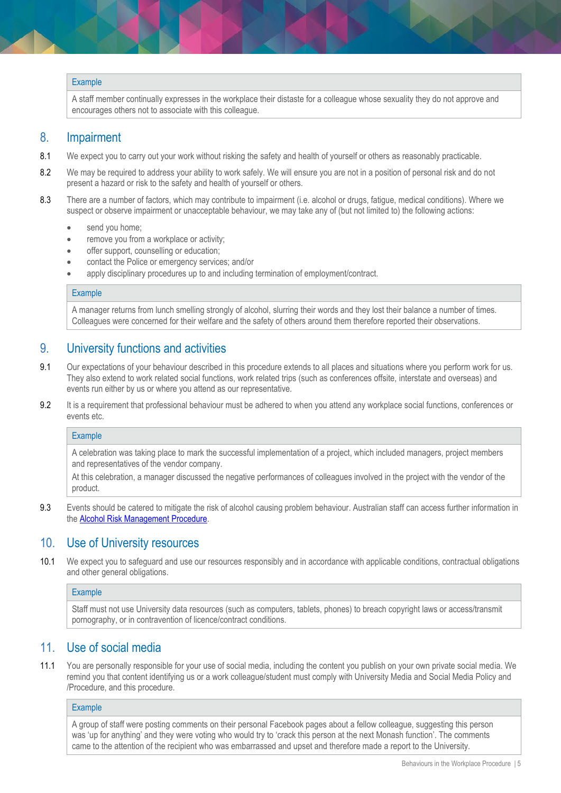#### **Example**

A staff member continually expresses in the workplace their distaste for a colleague whose sexuality they do not approve and encourages others not to associate with this colleague.

## 8. Impairment

- 8.1 We expect you to carry out your work without risking the safety and health of yourself or others as reasonably practicable.
- 8.2 We may be required to address your ability to work safely. We will ensure you are not in a position of personal risk and do not present a hazard or risk to the safety and health of yourself or others.
- 8.3 There are a number of factors, which may contribute to impairment (i.e. alcohol or drugs, fatigue, medical conditions). Where we suspect or observe impairment or unacceptable behaviour, we may take any of (but not limited to) the following actions:
	- send you home;
	- remove you from a workplace or activity;
	- offer support, counselling or education;
	- contact the Police or emergency services; and/or
	- apply disciplinary procedures up to and including termination of employment/contract.

#### Example

A manager returns from lunch smelling strongly of alcohol, slurring their words and they lost their balance a number of times. Colleagues were concerned for their welfare and the safety of others around them therefore reported their observations.

## 9. University functions and activities

- 9.1 Our expectations of your behaviour described in this procedure extends to all places and situations where you perform work for us. They also extend to work related social functions, work related trips (such as conferences offsite, interstate and overseas) and events run either by us or where you attend as our representative.
- 9.2 It is a requirement that professional behaviour must be adhered to when you attend any workplace social functions, conferences or events etc.

#### **Example**

A celebration was taking place to mark the successful implementation of a project, which included managers, project members and representatives of the vendor company.

At this celebration, a manager discussed the negative performances of colleagues involved in the project with the vendor of the product.

9.3 Events should be catered to mitigate the risk of alcohol causing problem behaviour. Australian staff can access further information in th[e Alcohol Risk Management Procedure.](https://publicpolicydms.monash.edu/Monash/documents/1935602)

## 10. Use of University resources

10.1 We expect you to safeguard and use our resources responsibly and in accordance with applicable conditions, contractual obligations and other general obligations.

#### Example

Staff must not use University data resources (such as computers, tablets, phones) to breach copyright laws or access/transmit pornography, or in contravention of licence/contract conditions.

## 11. Use of social media

11.1 You are personally responsible for your use of social media, including the content you publish on your own private social media. We remind you that content identifying us or a work colleague/student must comply with University Media and Social Media Policy and /Procedure, and this procedure.

#### **Example**

A group of staff were posting comments on their personal Facebook pages about a fellow colleague, suggesting this person was 'up for anything' and they were voting who would try to 'crack this person at the next Monash function'. The comments came to the attention of the recipient who was embarrassed and upset and therefore made a report to the University.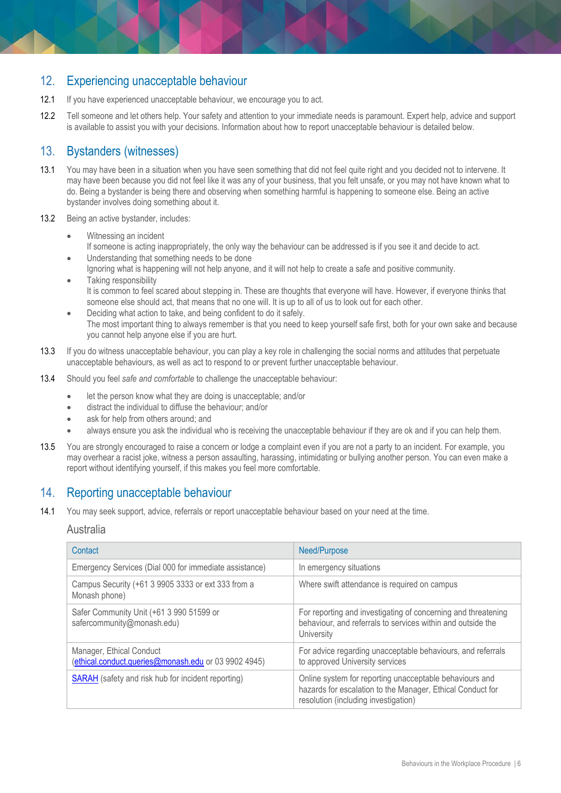# 12. Experiencing unacceptable behaviour

- 12.1 If you have experienced unacceptable behaviour, we encourage you to act.
- 12.2 Tell someone and let others help. Your safety and attention to your immediate needs is paramount. Expert help, advice and support is available to assist you with your decisions. Information about how to report unacceptable behaviour is detailed below.

# 13. Bystanders (witnesses)

- 13.1 You may have been in a situation when you have seen something that did not feel quite right and you decided not to intervene. It may have been because you did not feel like it was any of your business, that you felt unsafe, or you may not have known what to do. Being a bystander is being there and observing when something harmful is happening to someone else. Being an active bystander involves doing something about it.
- 13.2 Being an active bystander, includes:
	- Witnessing an incident
	- If someone is acting inappropriately, the only way the behaviour can be addressed is if you see it and decide to act. Understanding that something needs to be done
	- Ignoring what is happening will not help anyone, and it will not help to create a safe and positive community.
	- Taking responsibility It is common to feel scared about stepping in. These are thoughts that everyone will have. However, if everyone thinks that someone else should act, that means that no one will. It is up to all of us to look out for each other.
	- Deciding what action to take, and being confident to do it safely. The most important thing to always remember is that you need to keep yourself safe first, both for your own sake and because you cannot help anyone else if you are hurt.
- 13.3 If you do witness unacceptable behaviour, you can play a key role in challenging the social norms and attitudes that perpetuate unacceptable behaviours, as well as act to respond to or prevent further unacceptable behaviour.
- 13.4 Should you feel *safe and comfortable* to challenge the unacceptable behaviour:
	- let the person know what they are doing is unacceptable; and/or
	- distract the individual to diffuse the behaviour; and/or
	- ask for help from others around; and
	- always ensure you ask the individual who is receiving the unacceptable behaviour if they are ok and if you can help them.
- 13.5 You are strongly encouraged to raise a concern or lodge a complaint even if you are not a party to an incident. For example, you may overhear a racist joke, witness a person assaulting, harassing, intimidating or bullying another person. You can even make a report without identifying yourself, if this makes you feel more comfortable.

# 14. Reporting unacceptable behaviour

14.1 You may seek support, advice, referrals or report unacceptable behaviour based on your need at the time.

## Australia

| Contact                                                                          | Need/Purpose                                                                                                                                                  |
|----------------------------------------------------------------------------------|---------------------------------------------------------------------------------------------------------------------------------------------------------------|
| Emergency Services (Dial 000 for immediate assistance)                           | In emergency situations                                                                                                                                       |
| Campus Security (+61 3 9905 3333 or ext 333 from a<br>Monash phone)              | Where swift attendance is required on campus                                                                                                                  |
| Safer Community Unit (+61 3 990 51599 or<br>safercommunity@monash.edu)           | For reporting and investigating of concerning and threatening<br>behaviour, and referrals to services within and outside the<br>University                    |
| Manager, Ethical Conduct<br>(ethical.conduct.queries@monash.edu or 03 9902 4945) | For advice regarding unacceptable behaviours, and referrals<br>to approved University services                                                                |
| <b>SARAH</b> (safety and risk hub for incident reporting)                        | Online system for reporting unacceptable behaviours and<br>hazards for escalation to the Manager, Ethical Conduct for<br>resolution (including investigation) |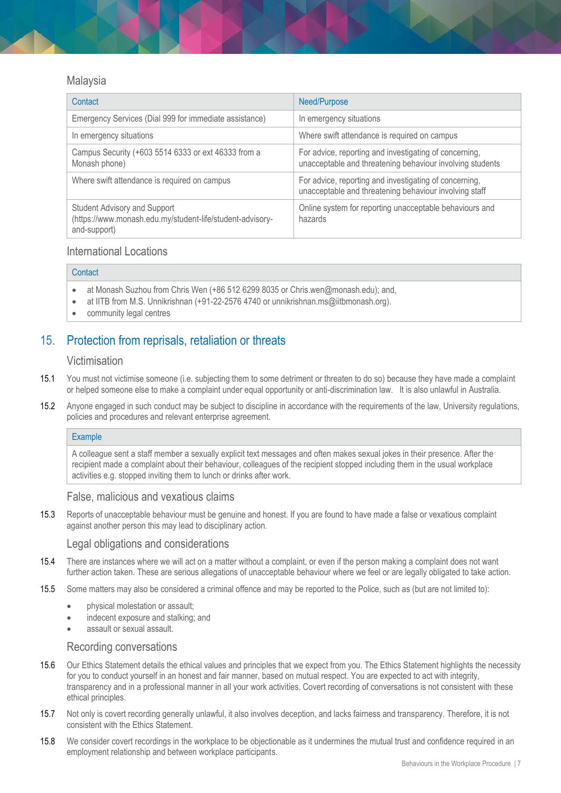## Malaysia

| Contact                                                                                                          | Need/Purpose                                                                                                        |
|------------------------------------------------------------------------------------------------------------------|---------------------------------------------------------------------------------------------------------------------|
| Emergency Services (Dial 999 for immediate assistance)                                                           | In emergency situations                                                                                             |
| In emergency situations                                                                                          | Where swift attendance is required on campus                                                                        |
| Campus Security (+603 5514 6333 or ext 46333 from a<br>Monash phone)                                             | For advice, reporting and investigating of concerning,<br>unacceptable and threatening behaviour involving students |
| Where swift attendance is required on campus                                                                     | For advice, reporting and investigating of concerning,<br>unacceptable and threatening behaviour involving staff    |
| <b>Student Advisory and Support</b><br>(https://www.monash.edu.my/student-life/student-advisory-<br>and-support) | Online system for reporting unacceptable behaviours and<br>hazards                                                  |

## International Locations

#### **Contact**

- at Monash Suzhou from Chris Wen (+86 512 6299 8035 or Chris.wen@monash.edu); and,
- at IITB from M.S. Unnikrishnan (+91-22-2576 4740 o[r unnikrishnan.ms@iitbmonash.org\).](mailto:unnikrishnan.ms@iitbmonash.org)
- community legal centres

# 15. Protection from reprisals, retaliation or threats

## Victimisation

- 15.1 You must not victimise someone (i.e. subjecting them to some detriment or threaten to do so) because they have made a complaint or helped someone else to make a complaint under equal opportunity or anti-discrimination law. It is also unlawful in Australia.
- 15.2 Anyone engaged in such conduct may be subject to discipline in accordance with the requirements of the law, University regulations, policies and procedures and relevant enterprise agreement.

#### **Example**

A colleague sent a staff member a sexually explicit text messages and often makes sexual jokes in their presence. After the recipient made a complaint about their behaviour, colleagues of the recipient stopped including them in the usual workplace activities e.g. stopped inviting them to lunch or drinks after work.

## False, malicious and vexatious claims

15.3 Reports of unacceptable behaviour must be genuine and honest. If you are found to have made a false or vexatious complaint against another person this may lead to disciplinary action.

## Legal obligations and considerations

- 15.4 There are instances where we will act on a matter without a complaint, or even if the person making a complaint does not want further action taken. These are serious allegations of unacceptable behaviour where we feel or are legally obligated to take action.
- 15.5 Some matters may also be considered a criminal offence and may be reported to the Police, such as (but are not limited to):
	- **•** physical molestation or assault;
	- indecent exposure and stalking; and
	- assault or sexual assault.

## Recording conversations

- 15.6 Our Ethics Statement details the ethical values and principles that we expect from you. The Ethics Statement highlights the necessity for you to conduct yourself in an honest and fair manner, based on mutual respect. You are expected to act with integrity, transparency and in a professional manner in all your work activities. Covert recording of conversations is not consistent with these ethical principles.
- 15.7 Not only is covert recording generally unlawful, it also involves deception, and lacks fairness and transparency. Therefore, it is not consistent with the Ethics Statement.
- 15.8 We consider covert recordings in the workplace to be objectionable as it undermines the mutual trust and confidence required in an employment relationship and between workplace participants.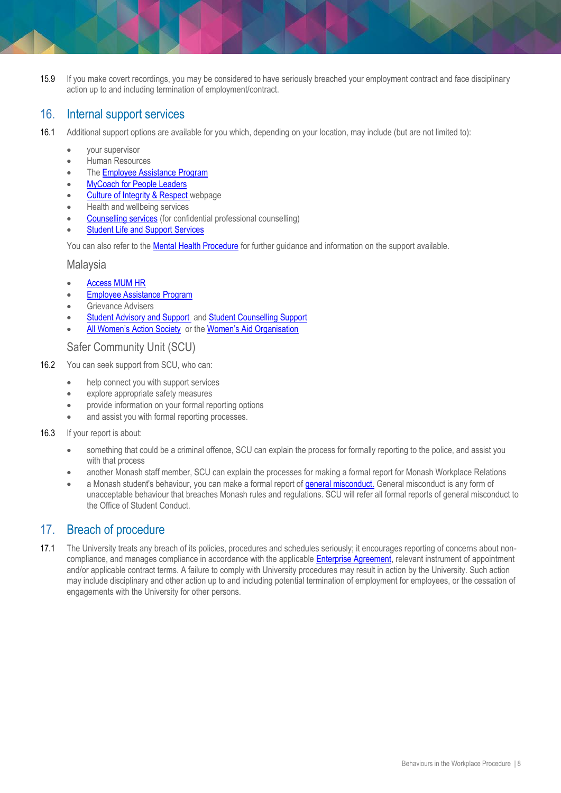15.9 If you make covert recordings, you may be considered to have seriously breached your employment contract and face disciplinary action up to and including termination of employment/contract.

# 16. Internal support services

- 16.1 Additional support options are available for you which, depending on your location, may include (but are not limited to):
	- your supervisor
	- **•** Human Resources
	- Th[e Employee Assistance Program](http://www.intranet.monash/hr/home/featured-items/row-2/featured-jobs/employee-assistance-program)
	- [MyCoach for People Leaders](https://www.intranet.monash/hr/tools-and-resources/manager-resources/manager-assist-hotline)
	- [Culture of Integrity & Respect](https://www.monash.edu/about/who/culture-of-respect) webpage
	- [Health and wellbeing services](https://www.monash.edu/ohs/health-and-wellbeing)
	- [Counselling services](https://www.monash.edu/health/counselling) (for confidential professional counselling)
	- [Student Life and Support Services](https://www.monash.edu/students/support)

You can also refer to th[e Mental Health Procedure](https://www.monash.edu/__data/assets/pdf_file/0003/2216523/Mental-Health-Procedure.pdf) for further guidance and information on the support available.

## **Malaysia**

- [Access MUM HR](https://hrhelpdesk.monash.edu.my/)
- **Employee Assistance Program**
- **•** Grievance Advisers
- [Student Advisory and Support a](https://www.monash.edu.my/student-life/student-advisory-and-support)n[d Student Counselling Support](https://www.monash.edu.my/student-services/support-services/counselling-and-wellness)
- [All Women's Action Society](https://www.hati.my/all-womens-action-society-awam) or the [Women's Aid Organisation](https://wao.org.my/)

Safer Community Unit (SCU)

- 16.2 You can seek support from SCU, who can:
	- help connect you with support services
	- explore appropriate safety measures
	- provide information on your formal reporting options
	- and assist you with formal reporting processes.
- 16.3 If your report is about:
	- something that could be a criminal offence, SCU can explain the process for formally reporting to the police, and assist you with that process
	- another Monash staff member, SCU can explain the processes for making a formal report for Monash Workplace Relations
	- a Monash student's behaviour, you can make a formal report of [general misconduct.](https://connect-forms.apps.monash.edu/students/report-incident/) [General misconduct](https://www.monash.edu/students/general-misconduct) is any form of unacceptable behaviour that breaches Monash rules and regulations. SCU will refer all formal reports of general misconduct to the Office of Student Conduct.

# 17. Breach of procedure

17.1 The University treats any breach of its policies, procedures and schedules seriously; it encourages reporting of concerns about noncompliance, and manages compliance in accordance with the applicable [Enterprise Agreement,](https://www.monash.edu/current-enterprise-agreements) relevant instrument of appointment and/or applicable contract terms. A failure to comply with University procedures may result in action by the University. Such action may include disciplinary and other action up to and including potential termination of employment for employees, or the cessation of engagements with the University for other persons.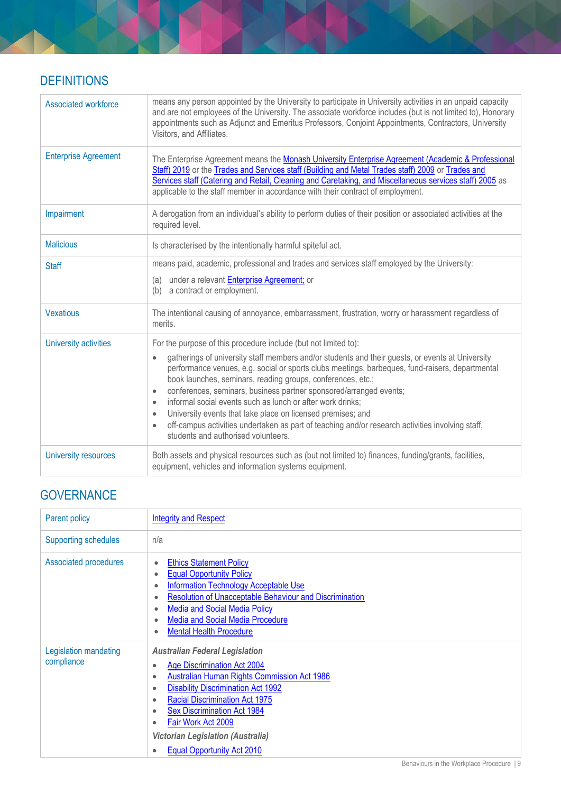# **DEFINITIONS**

| <b>Associated workforce</b> | means any person appointed by the University to participate in University activities in an unpaid capacity<br>and are not employees of the University. The associate workforce includes (but is not limited to), Honorary<br>appointments such as Adjunct and Emeritus Professors, Conjoint Appointments, Contractors, University<br>Visitors, and Affiliates.                                                                                                                                                                                                                                                                                                                                                                                       |
|-----------------------------|------------------------------------------------------------------------------------------------------------------------------------------------------------------------------------------------------------------------------------------------------------------------------------------------------------------------------------------------------------------------------------------------------------------------------------------------------------------------------------------------------------------------------------------------------------------------------------------------------------------------------------------------------------------------------------------------------------------------------------------------------|
| <b>Enterprise Agreement</b> | The Enterprise Agreement means the Monash University Enterprise Agreement (Academic & Professional<br>Staff) 2019 or the Trades and Services staff (Building and Metal Trades staff) 2009 or Trades and<br>Services staff (Catering and Retail, Cleaning and Caretaking, and Miscellaneous services staff) 2005 as<br>applicable to the staff member in accordance with their contract of employment.                                                                                                                                                                                                                                                                                                                                                |
| Impairment                  | A derogation from an individual's ability to perform duties of their position or associated activities at the<br>required level.                                                                                                                                                                                                                                                                                                                                                                                                                                                                                                                                                                                                                     |
| <b>Malicious</b>            | Is characterised by the intentionally harmful spiteful act.                                                                                                                                                                                                                                                                                                                                                                                                                                                                                                                                                                                                                                                                                          |
| <b>Staff</b>                | means paid, academic, professional and trades and services staff employed by the University:<br>(a) under a relevant <b>Enterprise Agreement</b> ; or<br>a contract or employment.<br>(b)                                                                                                                                                                                                                                                                                                                                                                                                                                                                                                                                                            |
| <b>Vexatious</b>            | The intentional causing of annoyance, embarrassment, frustration, worry or harassment regardless of<br>merits.                                                                                                                                                                                                                                                                                                                                                                                                                                                                                                                                                                                                                                       |
| University activities       | For the purpose of this procedure include (but not limited to):<br>gatherings of university staff members and/or students and their guests, or events at University<br>$\bullet$<br>performance venues, e.g. social or sports clubs meetings, barbeques, fund-raisers, departmental<br>book launches, seminars, reading groups, conferences, etc.;<br>conferences, seminars, business partner sponsored/arranged events;<br>$\bullet$<br>informal social events such as lunch or after work drinks;<br>$\bullet$<br>University events that take place on licensed premises; and<br>$\bullet$<br>off-campus activities undertaken as part of teaching and/or research activities involving staff,<br>$\bullet$<br>students and authorised volunteers. |
| University resources        | Both assets and physical resources such as (but not limited to) finances, funding/grants, facilities,<br>equipment, vehicles and information systems equipment.                                                                                                                                                                                                                                                                                                                                                                                                                                                                                                                                                                                      |

# **GOVERNANCE**

| Parent policy                       | <b>Integrity and Respect</b>                                                                                                                                                                                                                                                                                                                                                                             |
|-------------------------------------|----------------------------------------------------------------------------------------------------------------------------------------------------------------------------------------------------------------------------------------------------------------------------------------------------------------------------------------------------------------------------------------------------------|
| <b>Supporting schedules</b>         | n/a                                                                                                                                                                                                                                                                                                                                                                                                      |
| <b>Associated procedures</b>        | <b>Ethics Statement Policy</b><br><b>Equal Opportunity Policy</b><br><b>Information Technology Acceptable Use</b><br><b>Resolution of Unacceptable Behaviour and Discrimination</b><br><b>Media and Social Media Policy</b><br><b>Media and Social Media Procedure</b><br><b>Mental Health Procedure</b>                                                                                                 |
| Legislation mandating<br>compliance | <b>Australian Federal Legislation</b><br><b>Age Discrimination Act 2004</b><br>$\bullet$<br>Australian Human Rights Commission Act 1986<br>٠<br><b>Disability Discrimination Act 1992</b><br>٠<br><b>Racial Discrimination Act 1975</b><br>٠<br><b>Sex Discrimination Act 1984</b><br>٠<br>Fair Work Act 2009<br>٠<br><b>Victorian Legislation (Australia)</b><br><b>Equal Opportunity Act 2010</b><br>٠ |